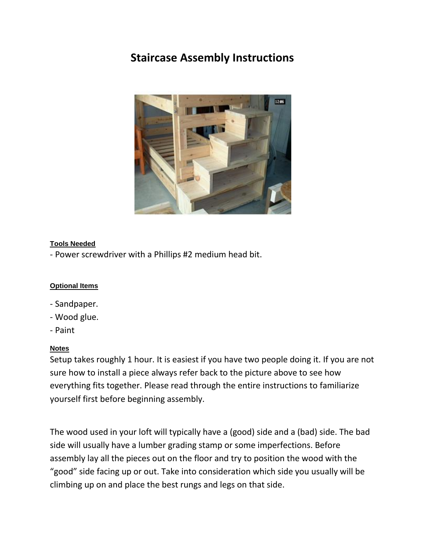## **Staircase Assembly Instructions**



#### **Tools Needed**

- Power screwdriver with a Phillips #2 medium head bit.

#### **Optional Items**

- Sandpaper.
- Wood glue.
- Paint

#### **Notes**

Setup takes roughly 1 hour. It is easiest if you have two people doing it. If you are not sure how to install a piece always refer back to the picture above to see how everything fits together. Please read through the entire instructions to familiarize yourself first before beginning assembly.

The wood used in your loft will typically have a (good) side and a (bad) side. The bad side will usually have a lumber grading stamp or some imperfections. Before assembly lay all the pieces out on the floor and try to position the wood with the "good" side facing up or out. Take into consideration which side you usually will be climbing up on and place the best rungs and legs on that side.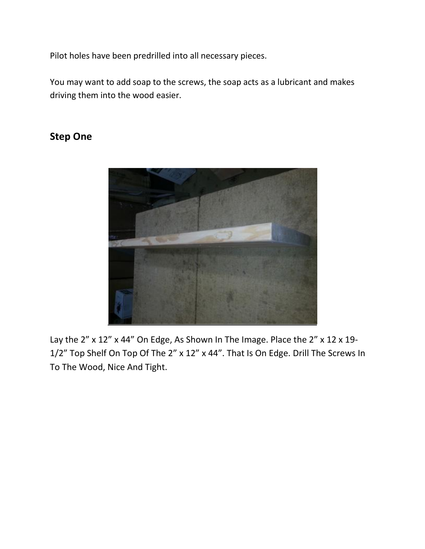Pilot holes have been predrilled into all necessary pieces.

You may want to add soap to the screws, the soap acts as a lubricant and makes driving them into the wood easier.

### **Step One**



Lay the 2" x 12" x 44" On Edge, As Shown In The Image. Place the 2" x 12 x 19-1/2" Top Shelf On Top Of The 2" x 12" x 44". That Is On Edge. Drill The Screws In To The Wood, Nice And Tight.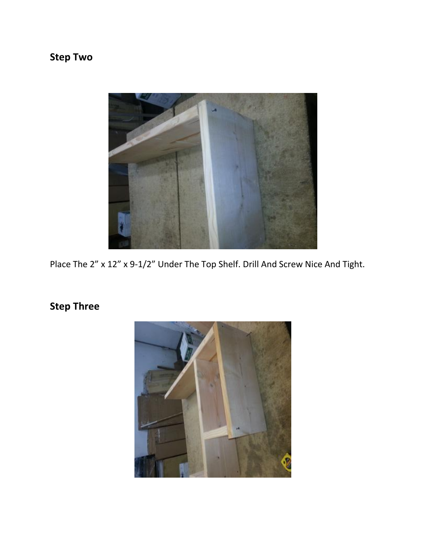# **Step Two**



Place The 2" x 12" x 9-1/2" Under The Top Shelf. Drill And Screw Nice And Tight.

## **Step Three**

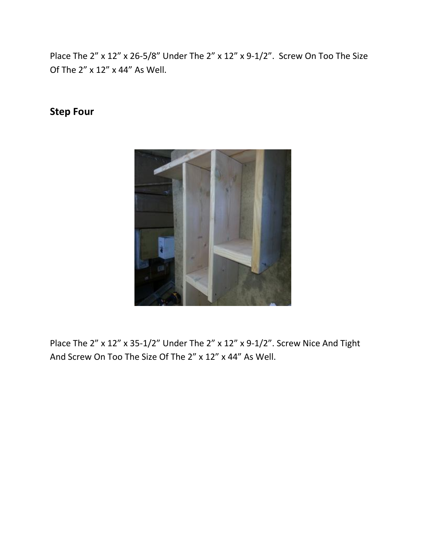Place The 2" x 12" x 26-5/8" Under The 2" x 12" x 9-1/2". Screw On Too The Size Of The 2" x 12" x 44" As Well.

## **Step Four**



Place The 2" x 12" x 35-1/2" Under The 2" x 12" x 9-1/2". Screw Nice And Tight And Screw On Too The Size Of The 2" x 12" x 44" As Well.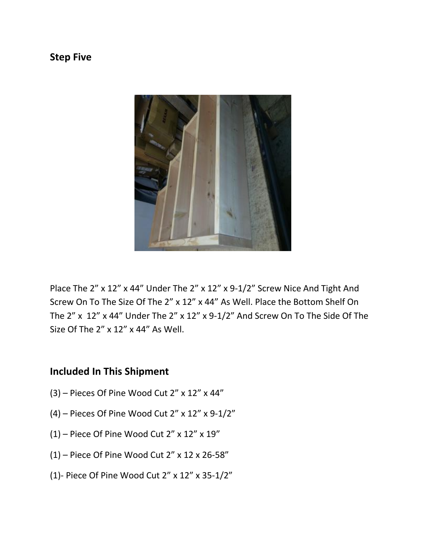### **Step Five**



Place The 2" x 12" x 44" Under The 2" x 12" x 9-1/2" Screw Nice And Tight And Screw On To The Size Of The 2" x 12" x 44" As Well. Place the Bottom Shelf On The 2" x 12" x 44" Under The 2" x 12" x 9-1/2" And Screw On To The Side Of The Size Of The 2" x 12" x 44" As Well.

### **Included In This Shipment**

- (3) Pieces Of Pine Wood Cut 2" x 12" x 44"
- (4) Pieces Of Pine Wood Cut 2" x 12" x 9-1/2"
- $(1)$  Piece Of Pine Wood Cut 2" x 12" x 19"
- (1) Piece Of Pine Wood Cut 2" x 12 x 26-58"
- (1)- Piece Of Pine Wood Cut 2" x 12" x 35-1/2"